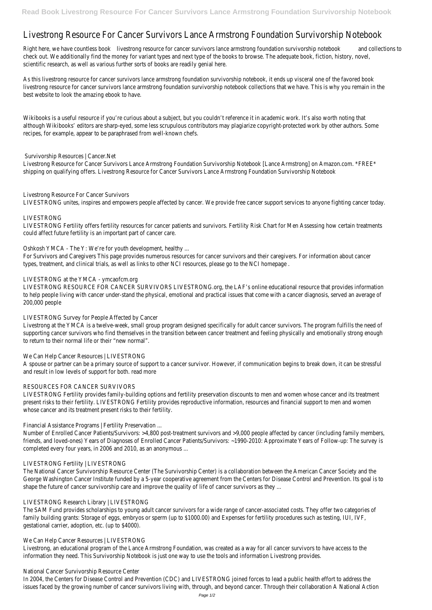# Livestrong Resource For Cancer Survivors Lance Armstrong Foundation Survivorship Notebook

Right here, we have countless bolokestrong resource for cancer survivors lance armstrong foundation survivorship notelodokollections to check out. We additionally find the money for variant types and next type of the books to browse. The adequate book, fiction, history, novel, scientific research, as well as various further sorts of books are readily genial here.

As this livestrong resource for cancer survivors lance armstrong foundation survivorship notebook, it ends up visceral one of the favored book livestrong resource for cancer survivors lance armstrong foundation survivorship notebook collections that we have. This is why you remain in best website to look the amazing ebook to have.

Wikibooks is a useful resource if you're curious about a subject, but you couldn't reference it in academic work. It's also worth noting that although Wikibooks' editors are sharp-eyed, some less scrupulous contributors may plagiarize copyright-protected work by other authors. Some recipes, for example, appear to be paraphrased from well-known chefs.

# Survivorship Resources | Cancer.Net

Livestrong Resource for Cancer Survivors Lance Armstrong Foundation Survivorship Notebook [Lance Armstrong] on Amazon.com. \*FREE\* shipping on qualifying offers. Livestrong Resource for Cancer Survivors Lance Armstrong Foundation Survivorship Notebook

# Livestrong Resource For Cancer Survivors

A spouse or partner can be a primary source of support to a cancer survivor. However, if communication begins to break down, it can be stress and result in low levels of support for both. read more

LIVESTRONG unites, inspires and empowers people affected by cancer. We provide free cancer support services to anyone fighting cancer today.

#### LIVESTRONG

LIVESTRONG Fertility offers fertility resources for cancer patients and survivors. Fertility Risk Chart for Men Assessing how certain treatments could affect future fertility is an important part of cancer care.

Oshkosh YMCA - The Y: We're for youth development, healthy ...

Number of Enrolled Cancer Patients/Survivors: >4,800 post-treatment survivors and >9,000 people affected by cancer (including family membe friends, and loved-ones) Years of Diagnoses of Enrolled Cancer Patients/Survivors: ~1990-2010: Approximate Years of Follow-up: The survey is completed every four years, in 2006 and 2010, as an anonymous ...

For Survivors and Caregivers This page provides numerous resources for cancer survivors and their caregivers. For information about cancer types, treatment, and clinical trials, as well as links to other NCI resources, please go to the NCI homepage .

#### LIVESTRONG at the YMCA - ymcaofcm.org

LIVESTRONG RESOURCE FOR CANCER SURVIVORS LIVESTRONG.org, the LAF's online educational resource that provides information to help people living with cancer under-stand the physical, emotional and practical issues that come with a cancer diagnosis, served an average 200,000 people

#### LIVESTRONG Survey for People Affected by Cancer

Livestrong at the YMCA is a twelve-week, small group program designed specifically for adult cancer survivors. The program fulfills the need of supporting cancer survivors who find themselves in the transition between cancer treatment and feeling physically and emotionally strong enought to return to their normal life or their "new normal".

# We Can Help Cancer Resources | LIVESTRONG

#### RESOURCES FOR CANCER SURVIVORS

LIVESTRONG Fertility provides family-building options and fertility preservation discounts to men and women whose cancer and its treatment present risks to their fertility. LIVESTRONG Fertility provides reproductive information, resources and financial support to men and women whose cancer and its treatment present risks to their fertility.

Financial Assistance Programs | Fertility Preservation ...

#### LIVESTRONG Fertility | LIVESTRONG

The National Cancer Survivorship Resource Center (The Survivorship Center) is a collaboration between the American Cancer Society and the George Washington Cancer Institute funded by a 5-year cooperative agreement from the Centers for Disease Control and Prevention. Its goal is shape the future of cancer survivorship care and improve the quality of life of cancer survivors as they ...

#### LIVESTRONG Research Library | LIVESTRONG

The SAM Fund provides scholarships to young adult cancer survivors for a wide range of cancer-associated costs. They offer two categories of family building grants: Storage of eggs, embryos or sperm (up to \$1000.00) and Expenses for fertility procedures such as testing, IUI, IVF, gestational carrier, adoption, etc. (up to \$4000).

#### We Can Help Cancer Resources | LIVESTRONG

Livestrong, an educational program of the Lance Armstrong Foundation, was created as a way for all cancer survivors to have access to the information they need. This Survivorship Notebook is just one way to use the tools and information Livestrong provides.

National Cancer Survivorship Resource Center

In 2004, the Centers for Disease Control and Prevention (CDC) and LIVESTRONG joined forces to lead a public health effort to address the issues faced by the growing number of cancer survivors living with, through, and beyond cancer. Through their collaboration A National Action